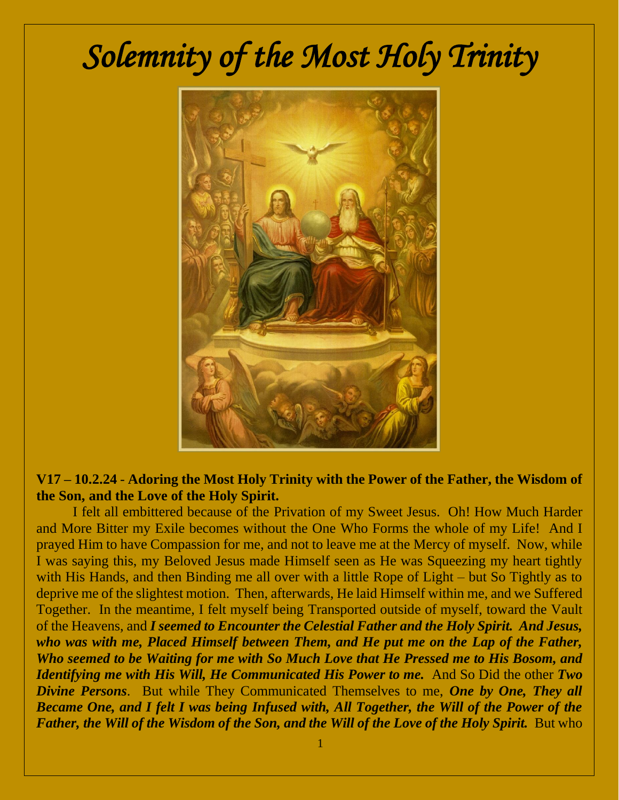## *Solemnity of the Most Holy Trinity*



## **V17 – 10.2.24** - **Adoring the Most Holy Trinity with the Power of the Father, the Wisdom of the Son, and the Love of the Holy Spirit.**

I felt all embittered because of the Privation of my Sweet Jesus. Oh! How Much Harder and More Bitter my Exile becomes without the One Who Forms the whole of my Life! And I prayed Him to have Compassion for me, and not to leave me at the Mercy of myself. Now, while I was saying this, my Beloved Jesus made Himself seen as He was Squeezing my heart tightly with His Hands, and then Binding me all over with a little Rope of Light – but So Tightly as to deprive me of the slightest motion. Then, afterwards, He laid Himself within me, and we Suffered Together. In the meantime, I felt myself being Transported outside of myself, toward the Vault of the Heavens, and *I seemed to Encounter the Celestial Father and the Holy Spirit. And Jesus, who was with me, Placed Himself between Them, and He put me on the Lap of the Father, Who seemed to be Waiting for me with So Much Love that He Pressed me to His Bosom, and Identifying me with His Will, He Communicated His Power to me.* And So Did the other *Two Divine Persons*. But while They Communicated Themselves to me, *One by One, They all Became One, and I felt I was being Infused with, All Together, the Will of the Power of the Father, the Will of the Wisdom of the Son, and the Will of the Love of the Holy Spirit.* But who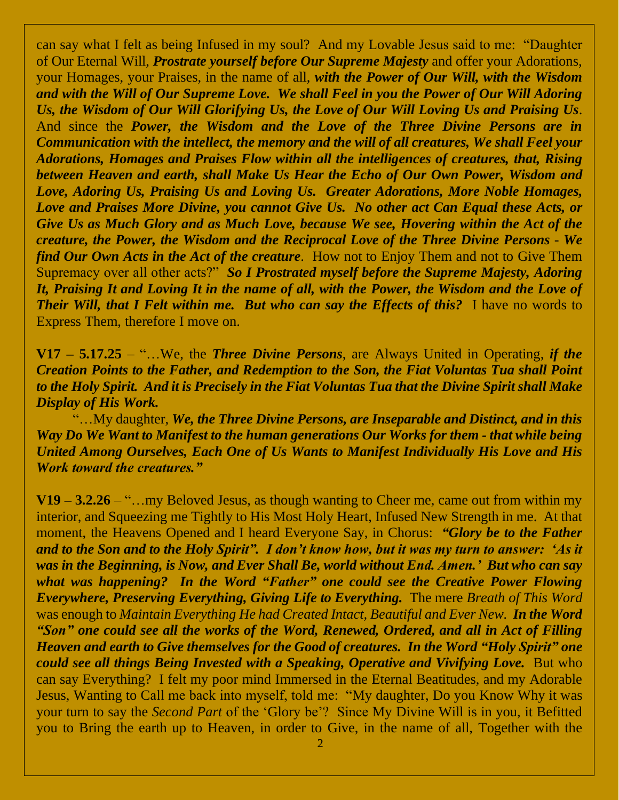can say what I felt as being Infused in my soul? And my Lovable Jesus said to me: "Daughter of Our Eternal Will, *Prostrate yourself before Our Supreme Majesty* and offer your Adorations, your Homages, your Praises, in the name of all, *with the Power of Our Will, with the Wisdom and with the Will of Our Supreme Love. We shall Feel in you the Power of Our Will Adoring Us, the Wisdom of Our Will Glorifying Us, the Love of Our Will Loving Us and Praising Us*. And since the *Power, the Wisdom and the Love of the Three Divine Persons are in Communication with the intellect, the memory and the will of all creatures, We shall Feel your Adorations, Homages and Praises Flow within all the intelligences of creatures, that, Rising between Heaven and earth, shall Make Us Hear the Echo of Our Own Power, Wisdom and Love, Adoring Us, Praising Us and Loving Us. Greater Adorations, More Noble Homages, Love and Praises More Divine, you cannot Give Us. No other act Can Equal these Acts, or Give Us as Much Glory and as Much Love, because We see, Hovering within the Act of the creature, the Power, the Wisdom and the Reciprocal Love of the Three Divine Persons* - *We find Our Own Acts in the Act of the creature*. How not to Enjoy Them and not to Give Them Supremacy over all other acts?" *So I Prostrated myself before the Supreme Majesty, Adoring It, Praising It and Loving It in the name of all, with the Power, the Wisdom and the Love of Their Will, that I Felt within me. But who can say the Effects of this?* I have no words to Express Them, therefore I move on.

**V17 – 5.17.25** – "…We, the *Three Divine Persons*, are Always United in Operating, *if the Creation Points to the Father, and Redemption to the Son, the Fiat Voluntas Tua shall Point to the Holy Spirit. And it is Precisely in the Fiat Voluntas Tua that the Divine Spirit shall Make Display of His Work.* 

"…My daughter, *We, the Three Divine Persons, are Inseparable and Distinct, and in this Way Do We Want to Manifest to the human generations Our Works for them - that while being United Among Ourselves, Each One of Us Wants to Manifest Individually His Love and His Work toward the creatures."*

**V19 – 3.2.26** – "…my Beloved Jesus, as though wanting to Cheer me, came out from within my interior, and Squeezing me Tightly to His Most Holy Heart, Infused New Strength in me. At that moment, the Heavens Opened and I heard Everyone Say, in Chorus: *"Glory be to the Father and to the Son and to the Holy Spirit". I don't know how, but it was my turn to answer: 'As it was in the Beginning, is Now, and Ever Shall Be, world without End. Amen.' But who can say what was happening? In the Word "Father" one could see the Creative Power Flowing Everywhere, Preserving Everything, Giving Life to Everything.* The mere *Breath of This Word* was enough to *Maintain Everything He had Created Intact, Beautiful and Ever New. In the Word "Son" one could see all the works of the Word, Renewed, Ordered, and all in Act of Filling Heaven and earth to Give themselves for the Good of creatures. In the Word "Holy Spirit" one could see all things Being Invested with a Speaking, Operative and Vivifying Love.* But who can say Everything? I felt my poor mind Immersed in the Eternal Beatitudes, and my Adorable Jesus, Wanting to Call me back into myself, told me: "My daughter, Do you Know Why it was your turn to say the *Second Part* of the 'Glory be'? Since My Divine Will is in you, it Befitted you to Bring the earth up to Heaven, in order to Give, in the name of all, Together with the